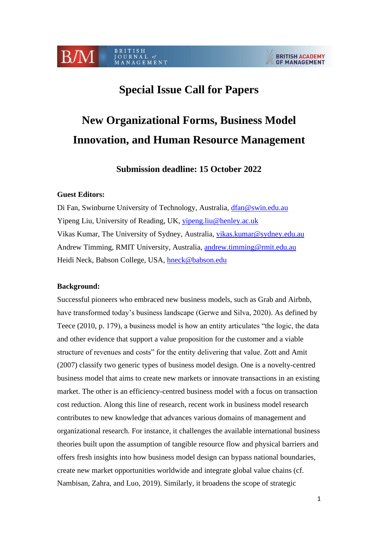#### BRITISH **B/M** JOURNAL of<br>MANAGEMENT

#### **BRITISH ACADEMY OF MANAGEMENT**

## **Special Issue Call for Papers**

# **New Organizational Forms, Business Model Innovation, and Human Resource Management**

**Submission deadline: 15 October 2022**

#### **Guest Editors:**

Di Fan, Swinburne University of Technology, Australia, [dfan@swin.edu.au](mailto:dfan@swin.edu.au) Yipeng Liu, University of Reading, UK, [yipeng.liu@henley.ac.uk](mailto:yipeng.liu@henley.ac.uk) Vikas Kumar, The University of Sydney, Australia, [vikas.kumar@sydney.edu.au](mailto:vikas.kumar@sydney.edu.au) Andrew Timming, RMIT University, Australia, [andrew.timming@rmit.edu.au](mailto:andrew.timming@rmit.edu.au) Heidi Neck, Babson College, USA, [hneck@babson.edu](mailto:hneck@babson.edu)

#### **Background:**

Successful pioneers who embraced new business models, such as Grab and Airbnb, have transformed today's business landscape (Gerwe and Silva, 2020). As defined by Teece (2010, p. 179), a business model is how an entity articulates "the logic, the data and other evidence that support a value proposition for the customer and a viable structure of revenues and costs" for the entity delivering that value. Zott and Amit (2007) classify two generic types of business model design. One is a novelty-centred business model that aims to create new markets or innovate transactions in an existing market. The other is an efficiency-centred business model with a focus on transaction cost reduction. Along this line of research, recent work in business model research contributes to new knowledge that advances various domains of management and organizational research. For instance, it challenges the available international business theories built upon the assumption of tangible resource flow and physical barriers and offers fresh insights into how business model design can bypass national boundaries, create new market opportunities worldwide and integrate global value chains (cf. Nambisan, Zahra, and Luo, 2019). Similarly, it broadens the scope of strategic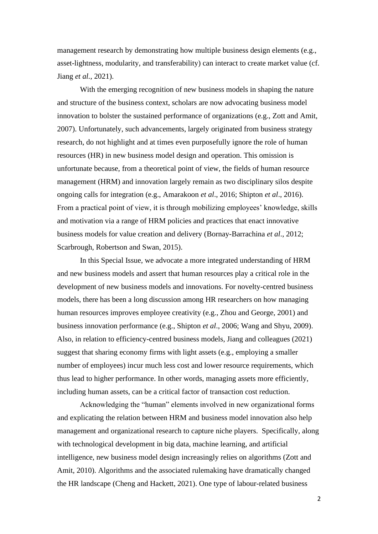management research by demonstrating how multiple business design elements (e.g., asset-lightness, modularity, and transferability) can interact to create market value (cf. Jiang *et al.*, 2021).

With the emerging recognition of new business models in shaping the nature and structure of the business context, scholars are now advocating business model innovation to bolster the sustained performance of organizations (e.g., Zott and Amit, 2007). Unfortunately, such advancements, largely originated from business strategy research, do not highlight and at times even purposefully ignore the role of human resources (HR) in new business model design and operation. This omission is unfortunate because, from a theoretical point of view, the fields of human resource management (HRM) and innovation largely remain as two disciplinary silos despite ongoing calls for integration (e.g., Amarakoon *et al*., 2016; Shipton *et al*., 2016). From a practical point of view, it is through mobilizing employees' knowledge, skills and motivation via a range of HRM policies and practices that enact innovative business models for value creation and delivery (Bornay-Barrachina *et al*., 2012; Scarbrough, Robertson and Swan, 2015).

In this Special Issue, we advocate a more integrated understanding of HRM and new business models and assert that human resources play a critical role in the development of new business models and innovations. For novelty-centred business models, there has been a long discussion among HR researchers on how managing human resources improves employee creativity (e.g., Zhou and George, 2001) and business innovation performance (e.g., Shipton *et al*., 2006; Wang and Shyu, 2009). Also, in relation to efficiency-centred business models, Jiang and colleagues (2021) suggest that sharing economy firms with light assets (e.g., employing a smaller number of employees) incur much less cost and lower resource requirements, which thus lead to higher performance. In other words, managing assets more efficiently, including human assets, can be a critical factor of transaction cost reduction.

Acknowledging the "human" elements involved in new organizational forms and explicating the relation between HRM and business model innovation also help management and organizational research to capture niche players. Specifically, along with technological development in big data, machine learning, and artificial intelligence, new business model design increasingly relies on algorithms (Zott and Amit, 2010). Algorithms and the associated rulemaking have dramatically changed the HR landscape (Cheng and Hackett, 2021). One type of labour-related business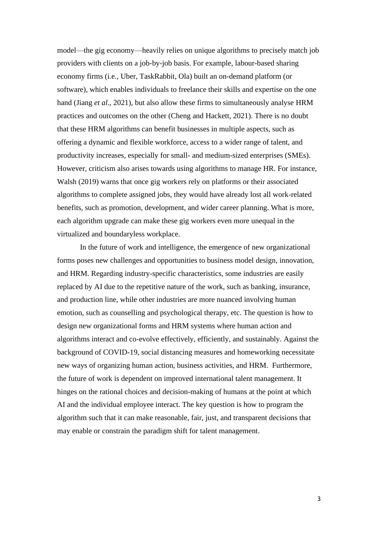model—the gig economy—heavily relies on unique algorithms to precisely match job providers with clients on a job-by-job basis. For example, labour-based sharing economy firms (i.e., Uber, TaskRabbit, Ola) built an on-demand platform (or software), which enables individuals to freelance their skills and expertise on the one hand (Jiang *et al*., 2021), but also allow these firms to simultaneously analyse HRM practices and outcomes on the other (Cheng and Hackett, 2021). There is no doubt that these HRM algorithms can benefit businesses in multiple aspects, such as offering a dynamic and flexible workforce, access to a wider range of talent, and productivity increases, especially for small- and medium-sized enterprises (SMEs). However, criticism also arises towards using algorithms to manage HR. For instance, Walsh (2019) warns that once gig workers rely on platforms or their associated algorithms to complete assigned jobs, they would have already lost all work-related benefits, such as promotion, development, and wider career planning. What is more, each algorithm upgrade can make these gig workers even more unequal in the virtualized and boundaryless workplace.

In the future of work and intelligence, the emergence of new organizational forms poses new challenges and opportunities to business model design, innovation, and HRM. Regarding industry-specific characteristics, some industries are easily replaced by AI due to the repetitive nature of the work, such as banking, insurance, and production line, while other industries are more nuanced involving human emotion, such as counselling and psychological therapy, etc. The question is how to design new organizational forms and HRM systems where human action and algorithms interact and co-evolve effectively, efficiently, and sustainably. Against the background of COVID-19, social distancing measures and homeworking necessitate new ways of organizing human action, business activities, and HRM. Furthermore, the future of work is dependent on improved international talent management. It hinges on the rational choices and decision-making of humans at the point at which AI and the individual employee interact. The key question is how to program the algorithm such that it can make reasonable, fair, just, and transparent decisions that may enable or constrain the paradigm shift for talent management.

3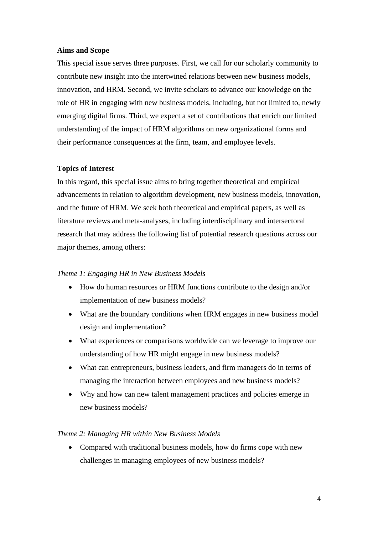#### **Aims and Scope**

This special issue serves three purposes. First, we call for our scholarly community to contribute new insight into the intertwined relations between new business models, innovation, and HRM. Second, we invite scholars to advance our knowledge on the role of HR in engaging with new business models, including, but not limited to, newly emerging digital firms. Third, we expect a set of contributions that enrich our limited understanding of the impact of HRM algorithms on new organizational forms and their performance consequences at the firm, team, and employee levels.

#### **Topics of Interest**

In this regard, this special issue aims to bring together theoretical and empirical advancements in relation to algorithm development, new business models, innovation, and the future of HRM. We seek both theoretical and empirical papers, as well as literature reviews and meta-analyses, including interdisciplinary and intersectoral research that may address the following list of potential research questions across our major themes, among others:

#### *Theme 1: Engaging HR in New Business Models*

- How do human resources or HRM functions contribute to the design and/or implementation of new business models?
- What are the boundary conditions when HRM engages in new business model design and implementation?
- What experiences or comparisons worldwide can we leverage to improve our understanding of how HR might engage in new business models?
- What can entrepreneurs, business leaders, and firm managers do in terms of managing the interaction between employees and new business models?
- Why and how can new talent management practices and policies emerge in new business models?

#### *Theme 2: Managing HR within New Business Models*

• Compared with traditional business models, how do firms cope with new challenges in managing employees of new business models?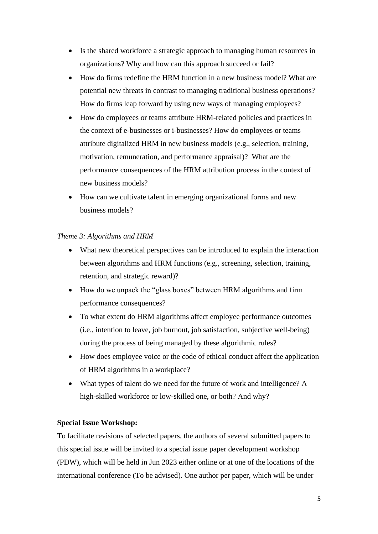- Is the shared workforce a strategic approach to managing human resources in organizations? Why and how can this approach succeed or fail?
- How do firms redefine the HRM function in a new business model? What are potential new threats in contrast to managing traditional business operations? How do firms leap forward by using new ways of managing employees?
- How do employees or teams attribute HRM-related policies and practices in the context of e-businesses or i-businesses? How do employees or teams attribute digitalized HRM in new business models (e.g., selection, training, motivation, remuneration, and performance appraisal)? What are the performance consequences of the HRM attribution process in the context of new business models?
- How can we cultivate talent in emerging organizational forms and new business models?

#### *Theme 3: Algorithms and HRM*

- What new theoretical perspectives can be introduced to explain the interaction between algorithms and HRM functions (e.g., screening, selection, training, retention, and strategic reward)?
- How do we unpack the "glass boxes" between HRM algorithms and firm performance consequences?
- To what extent do HRM algorithms affect employee performance outcomes (i.e., intention to leave, job burnout, job satisfaction, subjective well-being) during the process of being managed by these algorithmic rules?
- How does employee voice or the code of ethical conduct affect the application of HRM algorithms in a workplace?
- What types of talent do we need for the future of work and intelligence? A high-skilled workforce or low-skilled one, or both? And why?

### **Special Issue Workshop:**

To facilitate revisions of selected papers, the authors of several submitted papers to this special issue will be invited to a special issue paper development workshop (PDW), which will be held in Jun 2023 either online or at one of the locations of the international conference (To be advised). One author per paper, which will be under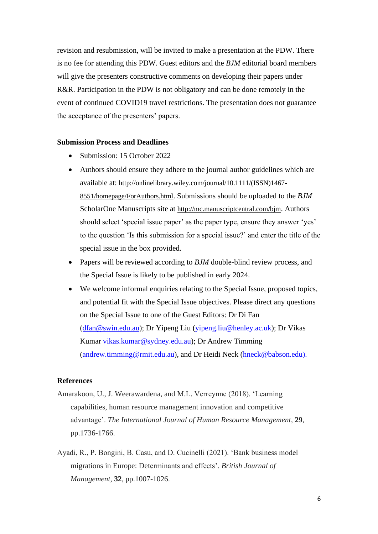revision and resubmission, will be invited to make a presentation at the PDW. There is no fee for attending this PDW. Guest editors and the *BJM* editorial board members will give the presenters constructive comments on developing their papers under R&R. Participation in the PDW is not obligatory and can be done remotely in the event of continued COVID19 travel restrictions. The presentation does not guarantee the acceptance of the presenters' papers.

#### **Submission Process and Deadlines**

- Submission: 15 October 2022
- Authors should ensure they adhere to the journal author guidelines which are available at: [http://onlinelibrary.wiley.com/journal/10.1111/\(ISSN\)1467-](https://protect-au.mimecast.com/s/sfZACOMxVMs6QR9LfE7_LB?domain=onlinelibrary.wiley.com) [8551/homepage/ForAuthors.html](https://protect-au.mimecast.com/s/sfZACOMxVMs6QR9LfE7_LB?domain=onlinelibrary.wiley.com). Submissions should be uploaded to the *BJM* ScholarOne Manuscripts site at [http://mc.manuscriptcentral.com/bjm](https://protect-au.mimecast.com/s/LaoPCP7yX7H7VGr1h0jilV?domain=mc.manuscriptcentral.com). Authors should select 'special issue paper' as the paper type, ensure they answer 'yes' to the question 'Is this submission for a special issue?' and enter the title of the special issue in the box provided.
- Papers will be reviewed according to *BJM* double-blind review process, and the Special Issue is likely to be published in early 2024.
- We welcome informal enquiries relating to the Special Issue, proposed topics, and potential fit with the Special Issue objectives. Please direct any questions on the Special Issue to one of the Guest Editors: Dr Di Fan [\(dfan@swin.edu.au\)](mailto:dfan@swin.edu.au); Dr Yipeng Liu [\(yipeng.liu@henley.ac.uk\)](mailto:yipeng.liu@henley.ac.uk); Dr Vikas Kumar [vikas.kumar@sydney.edu.au\)](mailto:vikas.kumar@sydney.edu.au); Dr Andrew Timming [\(andrew.timming@rmit.edu.au\)](mailto:andrew.timming@rmit.edu.au), and Dr Heidi Neck [\(hneck@babson.edu\)](mailto:hneck@babson.edu).

#### **References**

- Amarakoon, U., J. Weerawardena, and M.L. Verreynne (2018). 'Learning capabilities, human resource management innovation and competitive advantage'. *The International Journal of Human Resource Management*, **29**, pp.1736-1766.
- Ayadi, R., P. Bongini, B. Casu, and D. Cucinelli (2021). 'Bank business model migrations in Europe: Determinants and effects'. *British Journal of Management*, **32**, pp.1007-1026.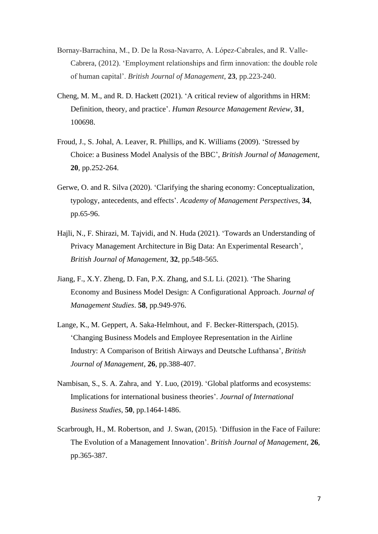- Bornay‐Barrachina, M., D. De la Rosa‐Navarro, A. López‐Cabrales, and R. Valle‐ Cabrera, (2012). 'Employment relationships and firm innovation: the double role of human capital'. *British Journal of Management*, **23**, pp.223-240.
- Cheng, M. M., and R. D. Hackett (2021). 'A critical review of algorithms in HRM: Definition, theory, and practice'. *Human Resource Management Review*, **31**, 100698.
- Froud, J., S. Johal, A. Leaver, R. Phillips, and K. Williams (2009). 'Stressed by Choice: a Business Model Analysis of the BBC', *British Journal of Management*, **20**, pp.252-264.
- Gerwe, O. and R. Silva (2020). 'Clarifying the sharing economy: Conceptualization, typology, antecedents, and effects'. *Academy of Management Perspectives*, **34**, pp.65-96.
- Hajli, N., F. Shirazi, M. Tajvidi, and N. Huda (2021). 'Towards an Understanding of Privacy Management Architecture in Big Data: An Experimental Research', *British Journal of Management*, **32**, pp.548-565.
- Jiang, F., X.Y. Zheng, D. Fan, P.X. Zhang, and S.L Li. (2021). 'The Sharing Economy and Business Model Design: A Configurational Approach. *Journal of Management Studies*. **58**, pp.949-976.
- Lange, K., M. Geppert, A. Saka-Helmhout, and F. Becker-Ritterspach, (2015). 'Changing Business Models and Employee Representation in the Airline Industry: A Comparison of British Airways and Deutsche Lufthansa', *British Journal of Management*, **26**, pp.388-407.
- Nambisan, S., S. A. Zahra, and Y. Luo, (2019). 'Global platforms and ecosystems: Implications for international business theories'. *Journal of International Business Studies*, **50**, pp.1464-1486.
- Scarbrough, H., M. Robertson, and J. Swan, (2015). 'Diffusion in the Face of Failure: The Evolution of a Management Innovation'. *British Journal of Management*, **26**, pp.365-387.